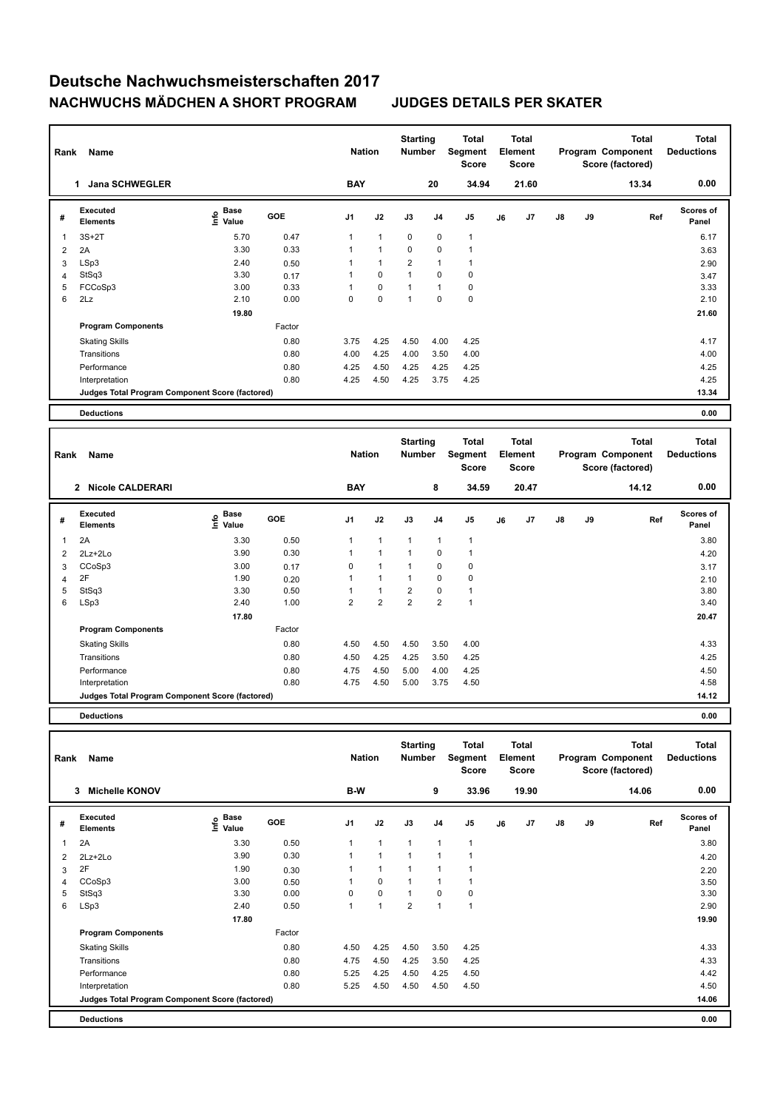| Rank | Name                                            |                                  | <b>Nation</b> |                | <b>Starting</b><br><b>Number</b> |                | Total<br>Segment<br><b>Score</b> |                | <b>Total</b><br>Element<br><b>Score</b> |       |               | <b>Total</b><br>Program Component<br>Score (factored) | <b>Total</b><br><b>Deductions</b> |                           |
|------|-------------------------------------------------|----------------------------------|---------------|----------------|----------------------------------|----------------|----------------------------------|----------------|-----------------------------------------|-------|---------------|-------------------------------------------------------|-----------------------------------|---------------------------|
|      | <b>Jana SCHWEGLER</b><br>1                      |                                  |               | <b>BAY</b>     |                                  |                | 20                               | 34.94          |                                         | 21.60 |               |                                                       | 13.34                             | 0.00                      |
| #    | Executed<br><b>Elements</b>                     | <b>Base</b><br>e Base<br>⊆ Value | <b>GOE</b>    | J <sub>1</sub> | J2                               | J3             | J <sub>4</sub>                   | J <sub>5</sub> | J6                                      | J7    | $\mathsf{J}8$ | J9                                                    | Ref                               | <b>Scores of</b><br>Panel |
| 1    | $3S+2T$                                         | 5.70                             | 0.47          |                | $\mathbf{1}$                     | $\mathbf 0$    | $\mathbf 0$                      | $\mathbf{1}$   |                                         |       |               |                                                       |                                   | 6.17                      |
| 2    | 2A                                              | 3.30                             | 0.33          |                | 1                                | 0              | $\mathbf 0$                      |                |                                         |       |               |                                                       |                                   | 3.63                      |
| 3    | LSp3                                            | 2.40                             | 0.50          |                | 1                                | $\overline{2}$ | $\overline{1}$                   |                |                                         |       |               |                                                       |                                   | 2.90                      |
| 4    | StSq3                                           | 3.30                             | 0.17          |                | 0                                | $\overline{1}$ | $\mathbf 0$                      | 0              |                                         |       |               |                                                       |                                   | 3.47                      |
| 5    | FCCoSp3                                         | 3.00                             | 0.33          |                | $\mathbf 0$                      | $\overline{1}$ | $\overline{1}$                   | $\pmb{0}$      |                                         |       |               |                                                       |                                   | 3.33                      |
| 6    | 2Lz                                             | 2.10                             | 0.00          | 0              | $\mathbf 0$                      | 1              | $\mathbf 0$                      | $\pmb{0}$      |                                         |       |               |                                                       |                                   | 2.10                      |
|      |                                                 | 19.80                            |               |                |                                  |                |                                  |                |                                         |       |               |                                                       |                                   | 21.60                     |
|      | <b>Program Components</b>                       |                                  | Factor        |                |                                  |                |                                  |                |                                         |       |               |                                                       |                                   |                           |
|      | <b>Skating Skills</b>                           |                                  | 0.80          | 3.75           | 4.25                             | 4.50           | 4.00                             | 4.25           |                                         |       |               |                                                       |                                   | 4.17                      |
|      | Transitions                                     |                                  | 0.80          | 4.00           | 4.25                             | 4.00           | 3.50                             | 4.00           |                                         |       |               |                                                       |                                   | 4.00                      |
|      | Performance                                     |                                  | 0.80          | 4.25           | 4.50                             | 4.25           | 4.25                             | 4.25           |                                         |       |               |                                                       |                                   | 4.25                      |
|      | Interpretation                                  |                                  | 0.80          | 4.25           | 4.50                             | 4.25           | 3.75                             | 4.25           |                                         |       |               |                                                       |                                   | 4.25                      |
|      | Judges Total Program Component Score (factored) |                                  |               |                |                                  |                |                                  |                |                                         |       |               |                                                       |                                   | 13.34                     |
|      | <b>Deductions</b>                               |                                  |               |                |                                  |                |                                  |                |                                         |       |               |                                                       |                                   | 0.00                      |

| Rank | Name                                            |                           |            | <b>Nation</b>  |                | <b>Starting</b><br>Number |                | <b>Total</b><br>Segment<br><b>Score</b> |    | <b>Total</b><br>Element<br><b>Score</b> |               |    | <b>Total</b><br>Program Component<br>Score (factored) | <b>Total</b><br><b>Deductions</b> |
|------|-------------------------------------------------|---------------------------|------------|----------------|----------------|---------------------------|----------------|-----------------------------------------|----|-----------------------------------------|---------------|----|-------------------------------------------------------|-----------------------------------|
|      | <b>Nicole CALDERARI</b><br>$\overline{2}$       |                           |            | <b>BAY</b>     |                |                           | 8              | 34.59                                   |    | 20.47                                   |               |    | 14.12                                                 | 0.00                              |
| #    | Executed<br><b>Elements</b>                     | Base<br>e Base<br>E Value | <b>GOE</b> | J1             | J2             | J3                        | J <sub>4</sub> | J5                                      | J6 | J7                                      | $\mathsf{J}8$ | J9 | Ref                                                   | Scores of<br>Panel                |
| 1    | 2A                                              | 3.30                      | 0.50       | $\mathbf{1}$   | $\mathbf{1}$   | $\mathbf{1}$              | 1              | $\mathbf{1}$                            |    |                                         |               |    |                                                       | 3.80                              |
| 2    | 2Lz+2Lo                                         | 3.90                      | 0.30       | 1              | 1              | $\mathbf{1}$              | $\Omega$       | 1                                       |    |                                         |               |    |                                                       | 4.20                              |
| 3    | CCoSp3                                          | 3.00                      | 0.17       | 0              | 1              | $\mathbf{1}$              | 0              | 0                                       |    |                                         |               |    |                                                       | 3.17                              |
| 4    | 2F                                              | 1.90                      | 0.20       | 1              | $\mathbf{1}$   | $\mathbf{1}$              | 0              | 0                                       |    |                                         |               |    |                                                       | 2.10                              |
| 5    | StSq3                                           | 3.30                      | 0.50       | 1              | 1              | $\overline{2}$            | $\Omega$       | 1                                       |    |                                         |               |    |                                                       | 3.80                              |
| 6    | LSp3                                            | 2.40                      | 1.00       | $\overline{2}$ | $\overline{2}$ | $\overline{2}$            | 2              | 1                                       |    |                                         |               |    |                                                       | 3.40                              |
|      |                                                 | 17.80                     |            |                |                |                           |                |                                         |    |                                         |               |    |                                                       | 20.47                             |
|      | <b>Program Components</b>                       |                           | Factor     |                |                |                           |                |                                         |    |                                         |               |    |                                                       |                                   |
|      | <b>Skating Skills</b>                           |                           | 0.80       | 4.50           | 4.50           | 4.50                      | 3.50           | 4.00                                    |    |                                         |               |    |                                                       | 4.33                              |
|      | Transitions                                     |                           | 0.80       | 4.50           | 4.25           | 4.25                      | 3.50           | 4.25                                    |    |                                         |               |    |                                                       | 4.25                              |
|      | Performance                                     |                           | 0.80       | 4.75           | 4.50           | 5.00                      | 4.00           | 4.25                                    |    |                                         |               |    |                                                       | 4.50                              |
|      | Interpretation                                  |                           | 0.80       | 4.75           | 4.50           | 5.00                      | 3.75           | 4.50                                    |    |                                         |               |    |                                                       | 4.58                              |
|      | Judges Total Program Component Score (factored) |                           |            |                |                |                           |                |                                         |    |                                         |               |    |                                                       | 14.12                             |

**Deductions 0.00**

| Rank | <b>Name</b>                                     |                                             | <b>Nation</b> |                | <b>Starting</b><br><b>Number</b> |                | Total<br>Segment<br><b>Score</b> |              | <b>Total</b><br>Element<br><b>Score</b> |       |               | <b>Total</b><br>Program Component<br>Score (factored) | <b>Total</b><br><b>Deductions</b> |                           |
|------|-------------------------------------------------|---------------------------------------------|---------------|----------------|----------------------------------|----------------|----------------------------------|--------------|-----------------------------------------|-------|---------------|-------------------------------------------------------|-----------------------------------|---------------------------|
|      | <b>Michelle KONOV</b><br>3                      |                                             |               | B-W            |                                  |                | 9                                | 33.96        |                                         | 19.90 |               |                                                       | 14.06                             | 0.00                      |
| #    | <b>Executed</b><br><b>Elements</b>              | <b>Base</b><br>e <sup>Base</sup><br>⊆ Value | <b>GOE</b>    | J <sub>1</sub> | J2                               | J3             | J <sub>4</sub>                   | J5           | J6                                      | J7    | $\mathsf{J}8$ | J9                                                    | Ref                               | <b>Scores of</b><br>Panel |
| 1    | 2A                                              | 3.30                                        | 0.50          |                | $\mathbf{1}$                     | $\mathbf{1}$   | $\overline{1}$                   | $\mathbf{1}$ |                                         |       |               |                                                       |                                   | 3.80                      |
| 2    | $2Lz+2Lo$                                       | 3.90                                        | 0.30          |                | $\mathbf{1}$                     | $\overline{1}$ | $\overline{ }$                   | $\mathbf 1$  |                                         |       |               |                                                       |                                   | 4.20                      |
| 3    | 2F                                              | 1.90                                        | 0.30          |                | 1                                |                |                                  | 1            |                                         |       |               |                                                       |                                   | 2.20                      |
| 4    | CCoSp3                                          | 3.00                                        | 0.50          |                | $\pmb{0}$                        |                | $\overline{\mathbf{1}}$          | $\mathbf{1}$ |                                         |       |               |                                                       |                                   | 3.50                      |
| 5    | StSq3                                           | 3.30                                        | 0.00          | 0              | $\pmb{0}$                        | $\mathbf{1}$   | 0                                | 0            |                                         |       |               |                                                       |                                   | 3.30                      |
| 6    | LSp3                                            | 2.40                                        | 0.50          |                | $\mathbf{1}$                     | $\overline{2}$ | $\mathbf{1}$                     | $\mathbf{1}$ |                                         |       |               |                                                       |                                   | 2.90                      |
|      |                                                 | 17.80                                       |               |                |                                  |                |                                  |              |                                         |       |               |                                                       |                                   | 19.90                     |
|      | <b>Program Components</b>                       |                                             | Factor        |                |                                  |                |                                  |              |                                         |       |               |                                                       |                                   |                           |
|      | <b>Skating Skills</b>                           |                                             | 0.80          | 4.50           | 4.25                             | 4.50           | 3.50                             | 4.25         |                                         |       |               |                                                       |                                   | 4.33                      |
|      | Transitions                                     |                                             | 0.80          | 4.75           | 4.50                             | 4.25           | 3.50                             | 4.25         |                                         |       |               |                                                       |                                   | 4.33                      |
|      | Performance                                     |                                             | 0.80          | 5.25           | 4.25                             | 4.50           | 4.25                             | 4.50         |                                         |       |               |                                                       |                                   | 4.42                      |
|      | Interpretation                                  |                                             | 0.80          | 5.25           | 4.50                             | 4.50           | 4.50                             | 4.50         |                                         |       |               |                                                       |                                   | 4.50                      |
|      | Judges Total Program Component Score (factored) |                                             |               |                |                                  |                |                                  |              |                                         |       |               |                                                       |                                   | 14.06                     |
|      | <b>Deductions</b>                               |                                             |               |                |                                  |                |                                  |              |                                         |       |               |                                                       |                                   | 0.00                      |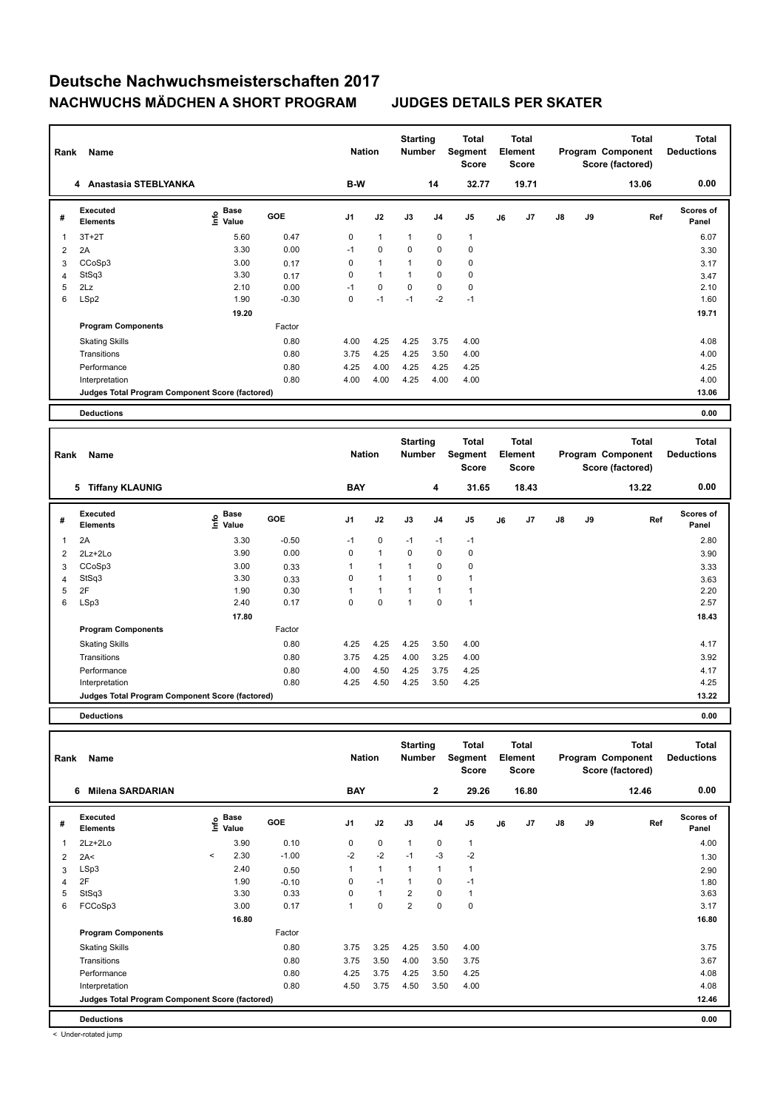| Rank           | Name                                            |                                  | <b>Nation</b> |      | <b>Starting</b><br><b>Number</b> |              | <b>Total</b><br>Segment<br><b>Score</b> |                | <b>Total</b><br>Element<br><b>Score</b> |       |               | <b>Total</b><br>Program Component<br>Score (factored) | <b>Total</b><br><b>Deductions</b> |                           |
|----------------|-------------------------------------------------|----------------------------------|---------------|------|----------------------------------|--------------|-----------------------------------------|----------------|-----------------------------------------|-------|---------------|-------------------------------------------------------|-----------------------------------|---------------------------|
|                | 4 Anastasia STEBLYANKA                          |                                  |               | B-W  |                                  |              | 14                                      | 32.77          |                                         | 19.71 |               |                                                       | 13.06                             | 0.00                      |
| #              | Executed<br><b>Elements</b>                     | <b>Base</b><br>e Base<br>⊆ Value | <b>GOE</b>    | J1   | J2                               | J3           | J <sub>4</sub>                          | J <sub>5</sub> | J6                                      | J7    | $\mathsf{J}8$ | J9                                                    | Ref                               | <b>Scores of</b><br>Panel |
| 1              | $3T+2T$                                         | 5.60                             | 0.47          | 0    | $\mathbf{1}$                     | $\mathbf{1}$ | 0                                       | $\overline{1}$ |                                         |       |               |                                                       |                                   | 6.07                      |
| $\overline{2}$ | 2A                                              | 3.30                             | 0.00          | $-1$ | $\mathbf 0$                      | 0            | 0                                       | 0              |                                         |       |               |                                                       |                                   | 3.30                      |
| 3              | CCoSp3                                          | 3.00                             | 0.17          | 0    | $\mathbf{1}$                     | $\mathbf{1}$ | 0                                       | $\pmb{0}$      |                                         |       |               |                                                       |                                   | 3.17                      |
| $\overline{4}$ | StSq3                                           | 3.30                             | 0.17          | 0    | $\mathbf{1}$                     | 1            | 0                                       | 0              |                                         |       |               |                                                       |                                   | 3.47                      |
| 5              | 2Lz                                             | 2.10                             | 0.00          | $-1$ | $\mathbf 0$                      | 0            | $\mathbf 0$                             | $\pmb{0}$      |                                         |       |               |                                                       |                                   | 2.10                      |
| 6              | LSp2                                            | 1.90                             | $-0.30$       | 0    | $-1$                             | $-1$         | $-2$                                    | $-1$           |                                         |       |               |                                                       |                                   | 1.60                      |
|                |                                                 | 19.20                            |               |      |                                  |              |                                         |                |                                         |       |               |                                                       |                                   | 19.71                     |
|                | <b>Program Components</b>                       |                                  | Factor        |      |                                  |              |                                         |                |                                         |       |               |                                                       |                                   |                           |
|                | <b>Skating Skills</b>                           |                                  | 0.80          | 4.00 | 4.25                             | 4.25         | 3.75                                    | 4.00           |                                         |       |               |                                                       |                                   | 4.08                      |
|                | Transitions                                     |                                  | 0.80          | 3.75 | 4.25                             | 4.25         | 3.50                                    | 4.00           |                                         |       |               |                                                       |                                   | 4.00                      |
|                | Performance                                     |                                  | 0.80          | 4.25 | 4.00                             | 4.25         | 4.25                                    | 4.25           |                                         |       |               |                                                       |                                   | 4.25                      |
|                | Interpretation                                  |                                  | 0.80          | 4.00 | 4.00                             | 4.25         | 4.00                                    | 4.00           |                                         |       |               |                                                       |                                   | 4.00                      |
|                | Judges Total Program Component Score (factored) |                                  |               |      |                                  |              |                                         |                |                                         |       |               |                                                       |                                   | 13.06                     |
|                | <b>Deductions</b>                               |                                  |               |      |                                  |              |                                         |                |                                         |       |               |                                                       |                                   | 0.00                      |

| Rank | Name                                            |                              |            | <b>Nation</b>  |              | <b>Starting</b><br><b>Number</b> |                | Total<br>Segment<br><b>Score</b> |    | <b>Total</b><br>Element<br><b>Score</b> |               |    | <b>Total</b><br>Program Component<br>Score (factored) | <b>Total</b><br><b>Deductions</b> |
|------|-------------------------------------------------|------------------------------|------------|----------------|--------------|----------------------------------|----------------|----------------------------------|----|-----------------------------------------|---------------|----|-------------------------------------------------------|-----------------------------------|
|      | <b>Tiffany KLAUNIG</b><br>5                     |                              |            | <b>BAY</b>     |              |                                  | 4              | 31.65                            |    | 18.43                                   |               |    | 13.22                                                 | 0.00                              |
| #    | <b>Executed</b><br><b>Elements</b>              | <b>Base</b><br>١mfo<br>Value | <b>GOE</b> | J <sub>1</sub> | J2           | J3                               | J <sub>4</sub> | J5                               | J6 | J7                                      | $\mathsf{J}8$ | J9 | Ref                                                   | Scores of<br>Panel                |
| 1    | 2A                                              | 3.30                         | $-0.50$    | $-1$           | 0            | $-1$                             | $-1$           | $-1$                             |    |                                         |               |    |                                                       | 2.80                              |
| 2    | 2Lz+2Lo                                         | 3.90                         | 0.00       | $\Omega$       | $\mathbf{1}$ | $\Omega$                         | $\Omega$       | 0                                |    |                                         |               |    |                                                       | 3.90                              |
| 3    | CCoSp3                                          | 3.00                         | 0.33       | 1              | $\mathbf{1}$ | 1                                | 0              | 0                                |    |                                         |               |    |                                                       | 3.33                              |
| 4    | StSq3                                           | 3.30                         | 0.33       | 0              | $\mathbf{1}$ | 1                                | $\mathbf 0$    | 1                                |    |                                         |               |    |                                                       | 3.63                              |
| 5    | 2F                                              | 1.90                         | 0.30       | 1              | $\mathbf{1}$ | 1                                | 1              | 1                                |    |                                         |               |    |                                                       | 2.20                              |
| 6    | LSp3                                            | 2.40                         | 0.17       | 0              | $\mathbf 0$  | 1                                | $\Omega$       | 1                                |    |                                         |               |    |                                                       | 2.57                              |
|      |                                                 | 17.80                        |            |                |              |                                  |                |                                  |    |                                         |               |    |                                                       | 18.43                             |
|      | <b>Program Components</b>                       |                              | Factor     |                |              |                                  |                |                                  |    |                                         |               |    |                                                       |                                   |
|      | <b>Skating Skills</b>                           |                              | 0.80       | 4.25           | 4.25         | 4.25                             | 3.50           | 4.00                             |    |                                         |               |    |                                                       | 4.17                              |
|      | Transitions                                     |                              | 0.80       | 3.75           | 4.25         | 4.00                             | 3.25           | 4.00                             |    |                                         |               |    |                                                       | 3.92                              |
|      | Performance                                     |                              | 0.80       | 4.00           | 4.50         | 4.25                             | 3.75           | 4.25                             |    |                                         |               |    |                                                       | 4.17                              |
|      | Interpretation                                  |                              | 0.80       | 4.25           | 4.50         | 4.25                             | 3.50           | 4.25                             |    |                                         |               |    |                                                       | 4.25                              |
|      | Judges Total Program Component Score (factored) |                              |            |                |              |                                  |                |                                  |    |                                         |               |    |                                                       | 13.22                             |

**Deductions 0.00**

| Rank           | Name                                            |         | <b>Nation</b>     |            | <b>Starting</b><br>Number |              | Total<br>Segment<br><b>Score</b> |                | <b>Total</b><br>Element<br><b>Score</b> |    |       | Total<br>Program Component<br>Score (factored) | <b>Total</b><br><b>Deductions</b> |       |                           |
|----------------|-------------------------------------------------|---------|-------------------|------------|---------------------------|--------------|----------------------------------|----------------|-----------------------------------------|----|-------|------------------------------------------------|-----------------------------------|-------|---------------------------|
|                | <b>Milena SARDARIAN</b><br>6                    |         |                   |            | <b>BAY</b>                |              |                                  | $\overline{2}$ | 29.26                                   |    | 16.80 |                                                |                                   | 12.46 | 0.00                      |
| #              | Executed<br><b>Elements</b>                     |         | e Base<br>E Value | <b>GOE</b> | J <sub>1</sub>            | J2           | J3                               | J <sub>4</sub> | J <sub>5</sub>                          | J6 | J7    | J8                                             | J9                                | Ref   | <b>Scores of</b><br>Panel |
| 1              | 2Lz+2Lo                                         |         | 3.90              | 0.10       | 0                         | $\mathbf 0$  | $\mathbf{1}$                     | $\mathbf 0$    | $\mathbf{1}$                            |    |       |                                                |                                   |       | 4.00                      |
| 2              | 2A<                                             | $\,<\,$ | 2.30              | $-1.00$    | $-2$                      | $-2$         | $-1$                             | $-3$           | $-2$                                    |    |       |                                                |                                   |       | 1.30                      |
| 3              | LSp3                                            |         | 2.40              | 0.50       | 1                         | $\mathbf{1}$ | 1                                | $\overline{1}$ | $\mathbf{1}$                            |    |       |                                                |                                   |       | 2.90                      |
| $\overline{4}$ | 2F                                              |         | 1.90              | $-0.10$    | 0                         | $-1$         | 1                                | $\mathbf 0$    | $-1$                                    |    |       |                                                |                                   |       | 1.80                      |
| 5              | StSq3                                           |         | 3.30              | 0.33       | 0                         | $\mathbf{1}$ | 2                                | 0              | $\mathbf{1}$                            |    |       |                                                |                                   |       | 3.63                      |
| 6              | FCCoSp3                                         |         | 3.00              | 0.17       | 1                         | $\mathbf 0$  | $\overline{2}$                   | $\Omega$       | $\mathbf 0$                             |    |       |                                                |                                   |       | 3.17                      |
|                |                                                 |         | 16.80             |            |                           |              |                                  |                |                                         |    |       |                                                |                                   |       | 16.80                     |
|                | <b>Program Components</b>                       |         |                   | Factor     |                           |              |                                  |                |                                         |    |       |                                                |                                   |       |                           |
|                | <b>Skating Skills</b>                           |         |                   | 0.80       | 3.75                      | 3.25         | 4.25                             | 3.50           | 4.00                                    |    |       |                                                |                                   |       | 3.75                      |
|                | Transitions                                     |         |                   | 0.80       | 3.75                      | 3.50         | 4.00                             | 3.50           | 3.75                                    |    |       |                                                |                                   |       | 3.67                      |
|                | Performance                                     |         |                   | 0.80       | 4.25                      | 3.75         | 4.25                             | 3.50           | 4.25                                    |    |       |                                                |                                   |       | 4.08                      |
|                | Interpretation                                  |         |                   | 0.80       | 4.50                      | 3.75         | 4.50                             | 3.50           | 4.00                                    |    |       |                                                |                                   |       | 4.08                      |
|                | Judges Total Program Component Score (factored) |         |                   |            |                           |              |                                  |                |                                         |    |       |                                                |                                   |       | 12.46                     |
|                | <b>Deductions</b>                               |         |                   |            |                           |              |                                  |                |                                         |    |       |                                                |                                   |       | 0.00                      |

< Under-rotated jump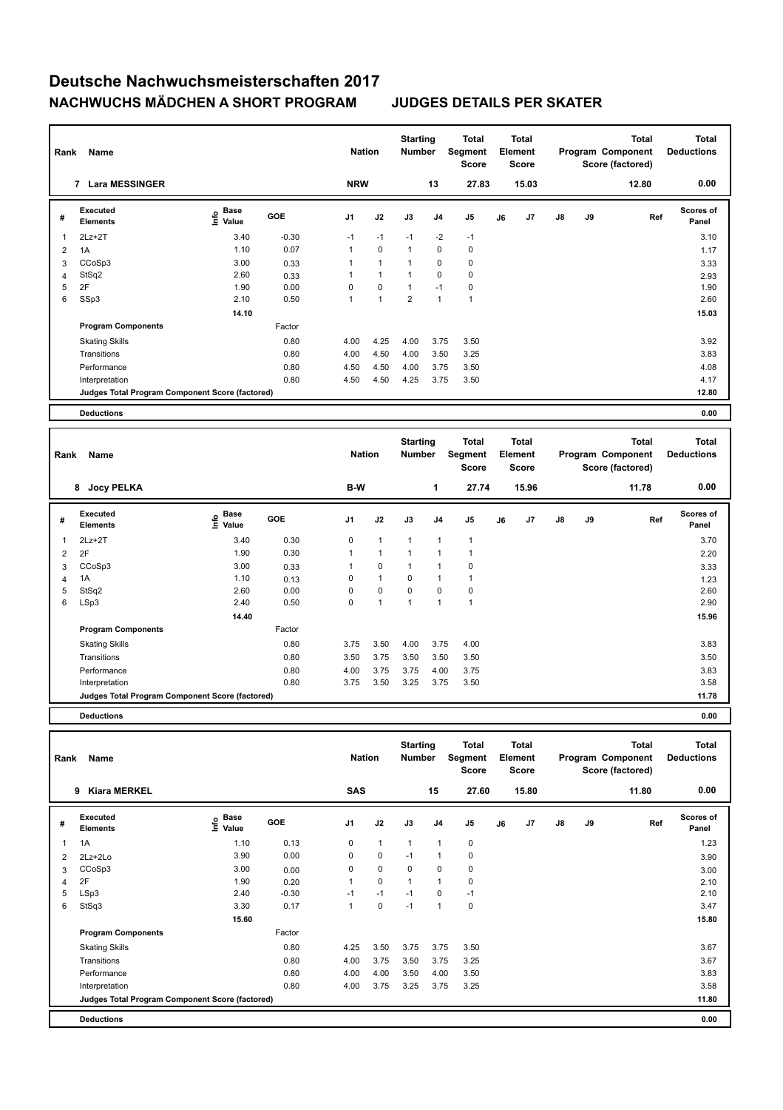| Rank           | Name                                            |                                             | <b>Nation</b> |                | <b>Starting</b><br><b>Number</b> |                | <b>Total</b><br>Segment<br><b>Score</b> |                | <b>Total</b><br>Element<br>Score |       |               | <b>Total</b><br>Program Component<br>Score (factored) | <b>Total</b><br><b>Deductions</b> |                           |
|----------------|-------------------------------------------------|---------------------------------------------|---------------|----------------|----------------------------------|----------------|-----------------------------------------|----------------|----------------------------------|-------|---------------|-------------------------------------------------------|-----------------------------------|---------------------------|
|                | <b>Lara MESSINGER</b><br>7                      |                                             |               | <b>NRW</b>     |                                  |                | 13                                      | 27.83          |                                  | 15.03 |               |                                                       | 12.80                             | 0.00                      |
| #              | Executed<br><b>Elements</b>                     | <b>Base</b><br>e <sup>Base</sup><br>⊆ Value | <b>GOE</b>    | J <sub>1</sub> | J2                               | J3             | J <sub>4</sub>                          | J <sub>5</sub> | J6                               | J7    | $\mathsf{J}8$ | J9                                                    | Ref                               | <b>Scores of</b><br>Panel |
| 1              | $2Lz+2T$                                        | 3.40                                        | $-0.30$       | $-1$           | $-1$                             | $-1$           | $-2$                                    | $-1$           |                                  |       |               |                                                       |                                   | 3.10                      |
| $\overline{2}$ | 1A                                              | 1.10                                        | 0.07          | $\mathbf{1}$   | $\mathbf 0$                      | $\mathbf{1}$   | 0                                       | 0              |                                  |       |               |                                                       |                                   | 1.17                      |
| 3              | CCoSp3                                          | 3.00                                        | 0.33          | 1              | $\mathbf{1}$                     | 1              | 0                                       | 0              |                                  |       |               |                                                       |                                   | 3.33                      |
| $\overline{4}$ | StSq2                                           | 2.60                                        | 0.33          | 1              | $\mathbf{1}$                     | $\mathbf{1}$   | 0                                       | 0              |                                  |       |               |                                                       |                                   | 2.93                      |
| 5              | 2F                                              | 1.90                                        | 0.00          | 0              | $\mathbf 0$                      | $\mathbf{1}$   | $-1$                                    | $\pmb{0}$      |                                  |       |               |                                                       |                                   | 1.90                      |
| 6              | SSp3                                            | 2.10                                        | 0.50          | 1              | 1                                | $\overline{2}$ | 1                                       | $\overline{1}$ |                                  |       |               |                                                       |                                   | 2.60                      |
|                |                                                 | 14.10                                       |               |                |                                  |                |                                         |                |                                  |       |               |                                                       |                                   | 15.03                     |
|                | <b>Program Components</b>                       |                                             | Factor        |                |                                  |                |                                         |                |                                  |       |               |                                                       |                                   |                           |
|                | <b>Skating Skills</b>                           |                                             | 0.80          | 4.00           | 4.25                             | 4.00           | 3.75                                    | 3.50           |                                  |       |               |                                                       |                                   | 3.92                      |
|                | Transitions                                     |                                             | 0.80          | 4.00           | 4.50                             | 4.00           | 3.50                                    | 3.25           |                                  |       |               |                                                       |                                   | 3.83                      |
|                | Performance                                     |                                             | 0.80          | 4.50           | 4.50                             | 4.00           | 3.75                                    | 3.50           |                                  |       |               |                                                       |                                   | 4.08                      |
|                | Interpretation                                  |                                             | 0.80          | 4.50           | 4.50                             | 4.25           | 3.75                                    | 3.50           |                                  |       |               |                                                       |                                   | 4.17                      |
|                | Judges Total Program Component Score (factored) |                                             |               |                |                                  |                |                                         |                |                                  |       |               |                                                       |                                   | 12.80                     |
|                | <b>Deductions</b>                               |                                             |               |                |                                  |                |                                         |                |                                  |       |               |                                                       |                                   | 0.00                      |

| Name                               |                       |            |                                                 |              |               | <b>Total</b><br><b>Score</b> |                                  |                                         |                |                                                  | <b>Total</b> | <b>Total</b><br><b>Deductions</b> |                                       |
|------------------------------------|-----------------------|------------|-------------------------------------------------|--------------|---------------|------------------------------|----------------------------------|-----------------------------------------|----------------|--------------------------------------------------|--------------|-----------------------------------|---------------------------------------|
| <b>Jocy PELKA</b>                  |                       |            | B-W                                             |              |               | 1                            |                                  |                                         |                |                                                  |              | 11.78                             | 0.00                                  |
| <b>Executed</b><br><b>Elements</b> | Base<br>Info<br>Value | <b>GOE</b> | J1                                              | J2           | J3            | J <sub>4</sub>               | J <sub>5</sub>                   | J6                                      | J <sub>7</sub> | $\mathsf{J}8$                                    | <b>J9</b>    | Ref                               | Scores of<br>Panel                    |
| $2Lz+2T$                           | 3.40                  | 0.30       | 0                                               | 1            | $\mathbf{1}$  | 1                            | $\mathbf{1}$                     |                                         |                |                                                  |              |                                   | 3.70                                  |
| 2F                                 | 1.90                  | 0.30       | 1                                               | $\mathbf{1}$ | $\mathbf{1}$  |                              | $\mathbf 1$                      |                                         |                |                                                  |              |                                   | 2.20                                  |
| CCoSp3                             | 3.00                  | 0.33       | 1                                               | 0            | $\mathbf{1}$  |                              | $\mathbf 0$                      |                                         |                |                                                  |              |                                   | 3.33                                  |
| 1A                                 | 1.10                  | 0.13       | 0                                               | $\mathbf{1}$ | 0             |                              | 1                                |                                         |                |                                                  |              |                                   | 1.23                                  |
| StSq2                              | 2.60                  | 0.00       | 0                                               | $\mathbf 0$  | $\mathbf 0$   | $\Omega$                     | 0                                |                                         |                |                                                  |              |                                   | 2.60                                  |
| LSp3                               | 2.40                  | 0.50       | 0                                               | 1            | $\mathbf{1}$  |                              | $\overline{1}$                   |                                         |                |                                                  |              |                                   | 2.90                                  |
|                                    | 14.40                 |            |                                                 |              |               |                              |                                  |                                         |                |                                                  |              |                                   | 15.96                                 |
| <b>Program Components</b>          |                       | Factor     |                                                 |              |               |                              |                                  |                                         |                |                                                  |              |                                   |                                       |
| <b>Skating Skills</b>              |                       | 0.80       | 3.75                                            | 3.50         | 4.00          |                              | 4.00                             |                                         |                |                                                  |              |                                   | 3.83                                  |
| Transitions                        |                       | 0.80       | 3.50                                            | 3.75         | 3.50          |                              | 3.50                             |                                         |                |                                                  |              |                                   | 3.50                                  |
| Performance                        |                       | 0.80       | 4.00                                            | 3.75         | 3.75          |                              | 3.75                             |                                         |                |                                                  |              |                                   | 3.83                                  |
| Interpretation                     |                       | 0.80       | 3.75                                            | 3.50         | 3.25          |                              | 3.50                             |                                         |                |                                                  |              |                                   | 3.58                                  |
|                                    |                       |            |                                                 |              |               |                              |                                  |                                         |                |                                                  |              |                                   | 11.78                                 |
|                                    | Rank<br>8             |            | Judges Total Program Component Score (factored) |              | <b>Nation</b> |                              | <b>Starting</b><br><b>Number</b> | Segment<br>3.75<br>3.50<br>4.00<br>3.75 | 27.74          | <b>Total</b><br>Element<br><b>Score</b><br>15.96 |              |                                   | Program Component<br>Score (factored) |

**Deductions 0.00**

| Rank           | Name                                            |                                  | <b>Nation</b> |                | <b>Starting</b><br><b>Number</b> |                | Total<br>Segment<br><b>Score</b> |                | <b>Total</b><br>Element<br><b>Score</b> |       |               | <b>Total</b><br>Program Component<br>Score (factored) | <b>Total</b><br><b>Deductions</b> |                    |
|----------------|-------------------------------------------------|----------------------------------|---------------|----------------|----------------------------------|----------------|----------------------------------|----------------|-----------------------------------------|-------|---------------|-------------------------------------------------------|-----------------------------------|--------------------|
|                | <b>Kiara MERKEL</b><br>9                        |                                  |               | <b>SAS</b>     |                                  |                | 15                               | 27.60          |                                         | 15.80 |               |                                                       | 11.80                             | 0.00               |
| #              | Executed<br><b>Elements</b>                     | <b>Base</b><br>e Base<br>⊆ Value | GOE           | J <sub>1</sub> | J2                               | J3             | J <sub>4</sub>                   | J <sub>5</sub> | J6                                      | J7    | $\mathsf{J}8$ | J9                                                    | Ref                               | Scores of<br>Panel |
| 1              | 1A                                              | 1.10                             | 0.13          | $\mathbf 0$    | $\overline{1}$                   | $\mathbf{1}$   | $\overline{1}$                   | $\pmb{0}$      |                                         |       |               |                                                       |                                   | 1.23               |
| 2              | $2Lz + 2Lo$                                     | 3.90                             | 0.00          | 0              | $\mathbf 0$                      | $-1$           | $\overline{1}$                   | $\mathbf 0$    |                                         |       |               |                                                       |                                   | 3.90               |
| 3              | CCoSp3                                          | 3.00                             | 0.00          | 0              | $\mathbf 0$                      | $\mathbf 0$    | $\mathbf 0$                      | 0              |                                         |       |               |                                                       |                                   | 3.00               |
| $\overline{4}$ | 2F                                              | 1.90                             | 0.20          |                | $\mathbf 0$                      | $\overline{1}$ | $\overline{1}$                   | 0              |                                         |       |               |                                                       |                                   | 2.10               |
| 5              | LSp3                                            | 2.40                             | $-0.30$       | $-1$           | $-1$                             | $-1$           | 0                                | $-1$           |                                         |       |               |                                                       |                                   | 2.10               |
| 6              | StSq3                                           | 3.30                             | 0.17          | $\mathbf{1}$   | $\pmb{0}$                        | $-1$           | $\overline{1}$                   | 0              |                                         |       |               |                                                       |                                   | 3.47               |
|                |                                                 | 15.60                            |               |                |                                  |                |                                  |                |                                         |       |               |                                                       |                                   | 15.80              |
|                | <b>Program Components</b>                       |                                  | Factor        |                |                                  |                |                                  |                |                                         |       |               |                                                       |                                   |                    |
|                | <b>Skating Skills</b>                           |                                  | 0.80          | 4.25           | 3.50                             | 3.75           | 3.75                             | 3.50           |                                         |       |               |                                                       |                                   | 3.67               |
|                | Transitions                                     |                                  | 0.80          | 4.00           | 3.75                             | 3.50           | 3.75                             | 3.25           |                                         |       |               |                                                       |                                   | 3.67               |
|                | Performance                                     |                                  | 0.80          | 4.00           | 4.00                             | 3.50           | 4.00                             | 3.50           |                                         |       |               |                                                       |                                   | 3.83               |
|                | Interpretation                                  |                                  | 0.80          | 4.00           | 3.75                             | 3.25           | 3.75                             | 3.25           |                                         |       |               |                                                       |                                   | 3.58               |
|                | Judges Total Program Component Score (factored) |                                  |               |                |                                  |                |                                  |                |                                         |       |               |                                                       |                                   | 11.80              |
|                | <b>Deductions</b>                               |                                  |               |                |                                  |                |                                  |                |                                         |       |               |                                                       |                                   | 0.00               |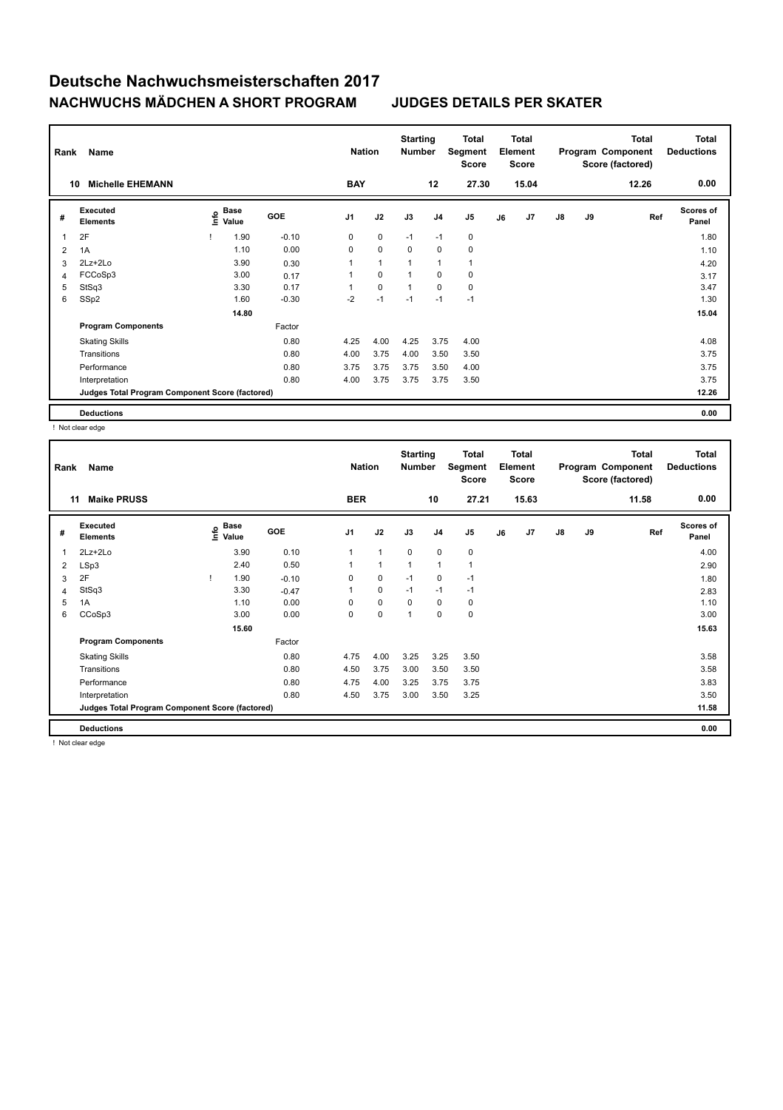| Rank           | Name                                            |      |                      |            | <b>Nation</b>  |              | <b>Starting</b><br><b>Number</b> |                | <b>Total</b><br>Segment<br><b>Score</b> |    | <b>Total</b><br>Element<br><b>Score</b> |               |    | <b>Total</b><br>Program Component<br>Score (factored) | <b>Total</b><br><b>Deductions</b> |
|----------------|-------------------------------------------------|------|----------------------|------------|----------------|--------------|----------------------------------|----------------|-----------------------------------------|----|-----------------------------------------|---------------|----|-------------------------------------------------------|-----------------------------------|
|                | <b>Michelle EHEMANN</b><br>10                   |      |                      |            | <b>BAY</b>     |              |                                  | 12             | 27.30                                   |    | 15.04                                   |               |    | 12.26                                                 | 0.00                              |
| #              | Executed<br><b>Elements</b>                     | lnfo | <b>Base</b><br>Value | <b>GOE</b> | J <sub>1</sub> | J2           | J3                               | J <sub>4</sub> | J <sub>5</sub>                          | J6 | J7                                      | $\mathsf{J}8$ | J9 | Ref                                                   | <b>Scores of</b><br>Panel         |
| 1              | 2F                                              |      | 1.90                 | $-0.10$    | 0              | $\mathbf 0$  | $-1$                             | $-1$           | 0                                       |    |                                         |               |    |                                                       | 1.80                              |
| 2              | 1A                                              |      | 1.10                 | 0.00       | 0              | $\pmb{0}$    | 0                                | 0              | 0                                       |    |                                         |               |    |                                                       | 1.10                              |
| 3              | 2Lz+2Lo                                         |      | 3.90                 | 0.30       | $\mathbf{1}$   | $\mathbf{1}$ | 1                                | $\mathbf{1}$   | $\mathbf{1}$                            |    |                                         |               |    |                                                       | 4.20                              |
| $\overline{4}$ | FCCoSp3                                         |      | 3.00                 | 0.17       | 1              | $\mathbf 0$  | 1                                | 0              | $\mathbf 0$                             |    |                                         |               |    |                                                       | 3.17                              |
| 5              | StSq3                                           |      | 3.30                 | 0.17       | 1              | $\mathbf 0$  | $\mathbf{1}$                     | 0              | 0                                       |    |                                         |               |    |                                                       | 3.47                              |
| 6              | SSp2                                            |      | 1.60                 | $-0.30$    | $-2$           | $-1$         | $-1$                             | $-1$           | $-1$                                    |    |                                         |               |    |                                                       | 1.30                              |
|                |                                                 |      | 14.80                |            |                |              |                                  |                |                                         |    |                                         |               |    |                                                       | 15.04                             |
|                | <b>Program Components</b>                       |      |                      | Factor     |                |              |                                  |                |                                         |    |                                         |               |    |                                                       |                                   |
|                | <b>Skating Skills</b>                           |      |                      | 0.80       | 4.25           | 4.00         | 4.25                             | 3.75           | 4.00                                    |    |                                         |               |    |                                                       | 4.08                              |
|                | Transitions                                     |      |                      | 0.80       | 4.00           | 3.75         | 4.00                             | 3.50           | 3.50                                    |    |                                         |               |    |                                                       | 3.75                              |
|                | Performance                                     |      |                      | 0.80       | 3.75           | 3.75         | 3.75                             | 3.50           | 4.00                                    |    |                                         |               |    |                                                       | 3.75                              |
|                | Interpretation                                  |      |                      | 0.80       | 4.00           | 3.75         | 3.75                             | 3.75           | 3.50                                    |    |                                         |               |    |                                                       | 3.75                              |
|                | Judges Total Program Component Score (factored) |      |                      |            |                |              |                                  |                |                                         |    |                                         |               |    |                                                       | 12.26                             |
|                | <b>Deductions</b>                               |      |                      |            |                |              |                                  |                |                                         |    |                                         |               |    |                                                       | 0.00                              |

! Not clear edge

| Rank        | Name                                            |                                           |         | <b>Nation</b>  |              | <b>Starting</b><br>Number |                | Total<br>Segment<br>Score |    | Total<br>Element<br><b>Score</b> |               |    | <b>Total</b><br>Program Component<br>Score (factored) | <b>Total</b><br><b>Deductions</b> |
|-------------|-------------------------------------------------|-------------------------------------------|---------|----------------|--------------|---------------------------|----------------|---------------------------|----|----------------------------------|---------------|----|-------------------------------------------------------|-----------------------------------|
| 11          | <b>Maike PRUSS</b>                              |                                           |         | <b>BER</b>     |              |                           | 10             | 27.21                     |    | 15.63                            |               |    | 11.58                                                 | 0.00                              |
| #           | Executed<br><b>Elements</b>                     | $\frac{e}{E}$ Base<br>$\frac{e}{E}$ Value | GOE     | J <sub>1</sub> | J2           | J3                        | J <sub>4</sub> | J <sub>5</sub>            | J6 | J7                               | $\mathsf{J}8$ | J9 | Ref                                                   | <b>Scores of</b><br>Panel         |
| $\mathbf 1$ | 2Lz+2Lo                                         | 3.90                                      | 0.10    | 1              | 1            | 0                         | 0              | 0                         |    |                                  |               |    |                                                       | 4.00                              |
| 2           | LSp3                                            | 2.40                                      | 0.50    |                | $\mathbf{1}$ | $\mathbf{1}$              | $\mathbf{1}$   | $\overline{1}$            |    |                                  |               |    |                                                       | 2.90                              |
| 3           | 2F                                              | 1.90                                      | $-0.10$ | 0              | 0            | $-1$                      | $\mathbf 0$    | $-1$                      |    |                                  |               |    |                                                       | 1.80                              |
| 4           | StSq3                                           | 3.30                                      | $-0.47$ |                | 0            | $-1$                      | $-1$           | $-1$                      |    |                                  |               |    |                                                       | 2.83                              |
| 5           | 1A                                              | 1.10                                      | 0.00    | $\Omega$       | $\Omega$     | 0                         | $\mathbf 0$    | 0                         |    |                                  |               |    |                                                       | 1.10                              |
| 6           | CCoSp3                                          | 3.00                                      | 0.00    | 0              | 0            | 1                         | $\mathbf 0$    | 0                         |    |                                  |               |    |                                                       | 3.00                              |
|             |                                                 | 15.60                                     |         |                |              |                           |                |                           |    |                                  |               |    |                                                       | 15.63                             |
|             | <b>Program Components</b>                       |                                           | Factor  |                |              |                           |                |                           |    |                                  |               |    |                                                       |                                   |
|             | <b>Skating Skills</b>                           |                                           | 0.80    | 4.75           | 4.00         | 3.25                      | 3.25           | 3.50                      |    |                                  |               |    |                                                       | 3.58                              |
|             | Transitions                                     |                                           | 0.80    | 4.50           | 3.75         | 3.00                      | 3.50           | 3.50                      |    |                                  |               |    |                                                       | 3.58                              |
|             | Performance                                     |                                           | 0.80    | 4.75           | 4.00         | 3.25                      | 3.75           | 3.75                      |    |                                  |               |    |                                                       | 3.83                              |
|             | Interpretation                                  |                                           | 0.80    | 4.50           | 3.75         | 3.00                      | 3.50           | 3.25                      |    |                                  |               |    |                                                       | 3.50                              |
|             | Judges Total Program Component Score (factored) |                                           |         |                |              |                           |                |                           |    |                                  |               |    |                                                       | 11.58                             |
|             | <b>Deductions</b>                               |                                           |         |                |              |                           |                |                           |    |                                  |               |    |                                                       | 0.00                              |

! Not clear edge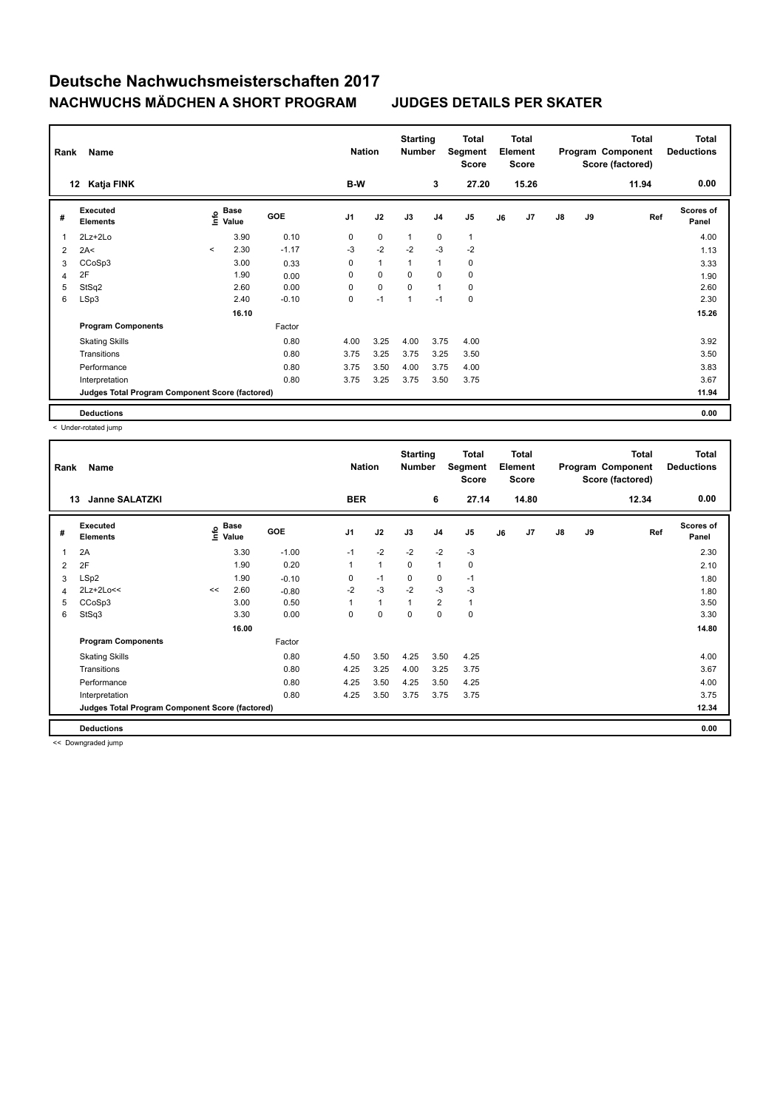| Rank | <b>Name</b>                                     |         | <b>Nation</b>                               |            | <b>Starting</b><br><b>Number</b> |              | <b>Total</b><br>Segment<br><b>Score</b> |                | <b>Total</b><br>Element<br><b>Score</b> |    |       | Total<br>Program Component<br>Score (factored) | <b>Total</b><br><b>Deductions</b> |       |                           |
|------|-------------------------------------------------|---------|---------------------------------------------|------------|----------------------------------|--------------|-----------------------------------------|----------------|-----------------------------------------|----|-------|------------------------------------------------|-----------------------------------|-------|---------------------------|
|      | Katja FINK<br>12                                |         |                                             |            | B-W                              |              |                                         | 3              | 27.20                                   |    | 15.26 |                                                |                                   | 11.94 | 0.00                      |
| #    | Executed<br><b>Elements</b>                     |         | <b>Base</b><br>e <sup>Base</sup><br>⊆ Value | <b>GOE</b> | J <sub>1</sub>                   | J2           | J3                                      | J <sub>4</sub> | J <sub>5</sub>                          | J6 | J7    | $\mathsf{J}8$                                  | J9                                | Ref   | <b>Scores of</b><br>Panel |
| 1    | 2Lz+2Lo                                         |         | 3.90                                        | 0.10       | 0                                | $\pmb{0}$    | $\mathbf{1}$                            | $\pmb{0}$      | $\mathbf{1}$                            |    |       |                                                |                                   |       | 4.00                      |
| 2    | 2A<                                             | $\prec$ | 2.30                                        | $-1.17$    | -3                               | $-2$         | $-2$                                    | $-3$           | $-2$                                    |    |       |                                                |                                   |       | 1.13                      |
| 3    | CCoSp3                                          |         | 3.00                                        | 0.33       | 0                                | $\mathbf{1}$ | $\overline{1}$                          | $\mathbf{1}$   | 0                                       |    |       |                                                |                                   |       | 3.33                      |
| 4    | 2F                                              |         | 1.90                                        | 0.00       | 0                                | 0            | 0                                       | 0              | $\mathbf 0$                             |    |       |                                                |                                   |       | 1.90                      |
| 5    | StSq2                                           |         | 2.60                                        | 0.00       | 0                                | $\mathbf 0$  | $\mathbf 0$                             | $\overline{1}$ | $\mathbf 0$                             |    |       |                                                |                                   |       | 2.60                      |
| 6    | LSp3                                            |         | 2.40                                        | $-0.10$    | 0                                | $-1$         | 1                                       | $-1$           | $\mathbf 0$                             |    |       |                                                |                                   |       | 2.30                      |
|      |                                                 |         | 16.10                                       |            |                                  |              |                                         |                |                                         |    |       |                                                |                                   |       | 15.26                     |
|      | <b>Program Components</b>                       |         |                                             | Factor     |                                  |              |                                         |                |                                         |    |       |                                                |                                   |       |                           |
|      | <b>Skating Skills</b>                           |         |                                             | 0.80       | 4.00                             | 3.25         | 4.00                                    | 3.75           | 4.00                                    |    |       |                                                |                                   |       | 3.92                      |
|      | Transitions                                     |         |                                             | 0.80       | 3.75                             | 3.25         | 3.75                                    | 3.25           | 3.50                                    |    |       |                                                |                                   |       | 3.50                      |
|      | Performance                                     |         |                                             | 0.80       | 3.75                             | 3.50         | 4.00                                    | 3.75           | 4.00                                    |    |       |                                                |                                   |       | 3.83                      |
|      | Interpretation                                  |         |                                             | 0.80       | 3.75                             | 3.25         | 3.75                                    | 3.50           | 3.75                                    |    |       |                                                |                                   |       | 3.67                      |
|      | Judges Total Program Component Score (factored) |         |                                             |            |                                  |              |                                         |                |                                         |    |       |                                                |                                   |       | 11.94                     |
|      | <b>Deductions</b>                               |         |                                             |            |                                  |              |                                         |                |                                         |    |       |                                                |                                   |       | 0.00                      |

Deductions<br>
< Under-rotated jump

|                | Name<br>Rank                                    |    |                           |            |              |              | <b>Starting</b><br><b>Number</b> |                | <b>Total</b><br>Segment<br>Score | <b>Total</b><br>Element<br><b>Score</b> |       |    |    | <b>Total</b><br>Program Component<br>Score (factored) | <b>Total</b><br><b>Deductions</b> |
|----------------|-------------------------------------------------|----|---------------------------|------------|--------------|--------------|----------------------------------|----------------|----------------------------------|-----------------------------------------|-------|----|----|-------------------------------------------------------|-----------------------------------|
| 13             | <b>Janne SALATZKI</b>                           |    |                           |            | <b>BER</b>   |              |                                  | 6              | 27.14                            |                                         | 14.80 |    |    | 12.34                                                 | 0.00                              |
| #              | Executed<br><b>Elements</b>                     |    | Base<br>e Base<br>⊆ Value | <b>GOE</b> | J1           | J2           | J3                               | J4             | J <sub>5</sub>                   | J6                                      | J7    | J8 | J9 | Ref                                                   | <b>Scores of</b><br>Panel         |
| 1              | 2A                                              |    | 3.30                      | $-1.00$    | $-1$         | $-2$         | $-2$                             | $-2$           | $-3$                             |                                         |       |    |    |                                                       | 2.30                              |
| 2              | 2F                                              |    | 1.90                      | 0.20       | $\mathbf{1}$ | $\mathbf{1}$ | 0                                | 1              | 0                                |                                         |       |    |    |                                                       | 2.10                              |
| 3              | LSp2                                            |    | 1.90                      | $-0.10$    | 0            | $-1$         | 0                                | 0              | $-1$                             |                                         |       |    |    |                                                       | 1.80                              |
| $\overline{4}$ | $2Lz+2Lo<<$                                     | << | 2.60                      | $-0.80$    | $-2$         | $-3$         | $-2$                             | $-3$           | $-3$                             |                                         |       |    |    |                                                       | 1.80                              |
| 5              | CCoSp3                                          |    | 3.00                      | 0.50       | 1            | $\mathbf{1}$ | $\mathbf{1}$                     | $\overline{2}$ | $\mathbf{1}$                     |                                         |       |    |    |                                                       | 3.50                              |
| 6              | StSq3                                           |    | 3.30                      | 0.00       | 0            | $\mathbf 0$  | 0                                | $\Omega$       | $\mathbf 0$                      |                                         |       |    |    |                                                       | 3.30                              |
|                |                                                 |    | 16.00                     |            |              |              |                                  |                |                                  |                                         |       |    |    |                                                       | 14.80                             |
|                | <b>Program Components</b>                       |    |                           | Factor     |              |              |                                  |                |                                  |                                         |       |    |    |                                                       |                                   |
|                | <b>Skating Skills</b>                           |    |                           | 0.80       | 4.50         | 3.50         | 4.25                             | 3.50           | 4.25                             |                                         |       |    |    |                                                       | 4.00                              |
|                | Transitions                                     |    |                           | 0.80       | 4.25         | 3.25         | 4.00                             | 3.25           | 3.75                             |                                         |       |    |    |                                                       | 3.67                              |
|                | Performance                                     |    |                           | 0.80       | 4.25         | 3.50         | 4.25                             | 3.50           | 4.25                             |                                         |       |    |    |                                                       | 4.00                              |
|                | Interpretation                                  |    |                           | 0.80       | 4.25         | 3.50         | 3.75                             | 3.75           | 3.75                             |                                         |       |    |    |                                                       | 3.75                              |
|                | Judges Total Program Component Score (factored) |    |                           |            |              |              |                                  |                |                                  |                                         |       |    |    |                                                       | 12.34                             |
|                | <b>Deductions</b>                               |    |                           |            |              |              |                                  |                |                                  |                                         |       |    |    |                                                       | 0.00                              |

<< Downgraded jump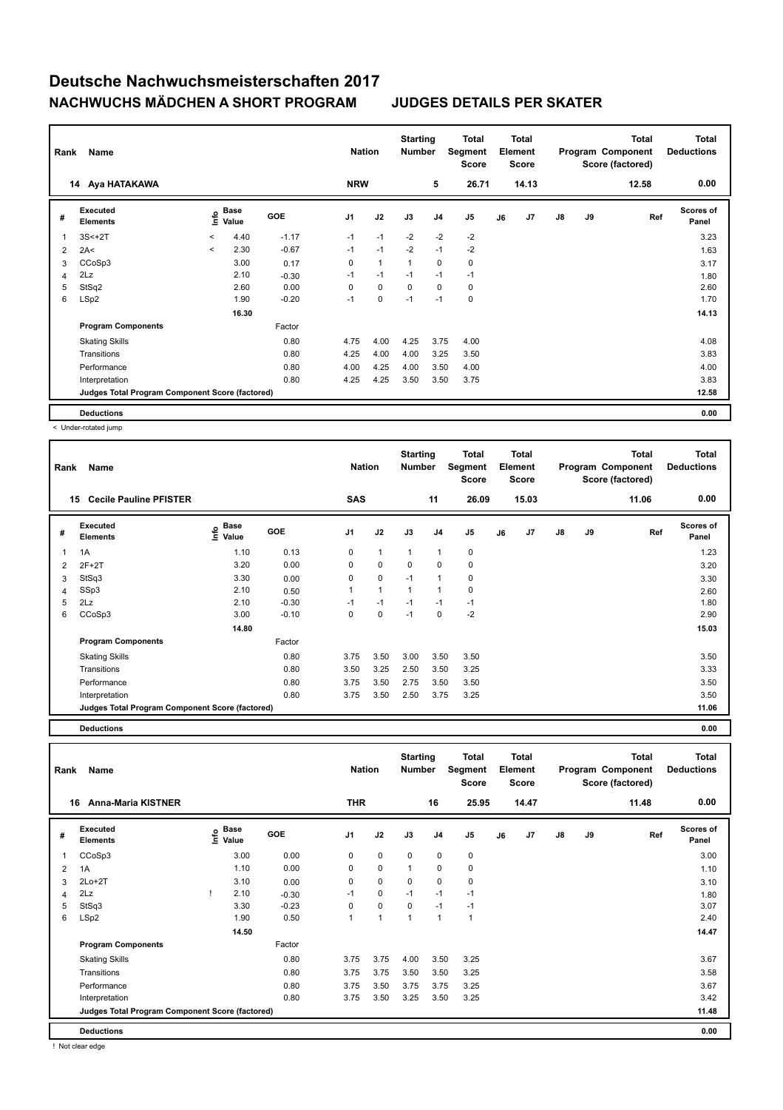| Rank | <b>Name</b>                                     |              | <b>Nation</b>        |            | <b>Starting</b><br><b>Number</b> | Total<br>Segment<br><b>Score</b> | <b>Total</b><br>Element<br><b>Score</b> |                |                |    | <b>Total</b><br>Program Component<br>Score (factored) | <b>Total</b><br><b>Deductions</b> |    |       |                           |
|------|-------------------------------------------------|--------------|----------------------|------------|----------------------------------|----------------------------------|-----------------------------------------|----------------|----------------|----|-------------------------------------------------------|-----------------------------------|----|-------|---------------------------|
|      | Aya HATAKAWA<br>14                              |              |                      |            | <b>NRW</b>                       |                                  |                                         | 5              | 26.71          |    | 14.13                                                 |                                   |    | 12.58 | 0.00                      |
| #    | <b>Executed</b><br><b>Elements</b>              | lnfo         | <b>Base</b><br>Value | <b>GOE</b> | J <sub>1</sub>                   | J2                               | J3                                      | J <sub>4</sub> | J <sub>5</sub> | J6 | J7                                                    | $\mathsf{J}8$                     | J9 | Ref   | <b>Scores of</b><br>Panel |
| 1    | $3S<+2T$                                        | $\prec$      | 4.40                 | $-1.17$    | $-1$                             | $-1$                             | $-2$                                    | $-2$           | $-2$           |    |                                                       |                                   |    |       | 3.23                      |
| 2    | 2A<                                             | $\checkmark$ | 2.30                 | $-0.67$    | $-1$                             | $-1$                             | $-2$                                    | $-1$           | $-2$           |    |                                                       |                                   |    |       | 1.63                      |
| 3    | CCoSp3                                          |              | 3.00                 | 0.17       | $\mathbf 0$                      | $\mathbf{1}$                     | $\overline{1}$                          | $\mathbf 0$    | $\mathbf 0$    |    |                                                       |                                   |    |       | 3.17                      |
| 4    | 2Lz                                             |              | 2.10                 | $-0.30$    | $-1$                             | $-1$                             | $-1$                                    | $-1$           | $-1$           |    |                                                       |                                   |    |       | 1.80                      |
| 5    | StSq2                                           |              | 2.60                 | 0.00       | 0                                | 0                                | 0                                       | $\mathbf 0$    | 0              |    |                                                       |                                   |    |       | 2.60                      |
| 6    | LSp2                                            |              | 1.90                 | $-0.20$    | $-1$                             | $\mathbf 0$                      | $-1$                                    | $-1$           | $\mathbf 0$    |    |                                                       |                                   |    |       | 1.70                      |
|      |                                                 |              | 16.30                |            |                                  |                                  |                                         |                |                |    |                                                       |                                   |    |       | 14.13                     |
|      | <b>Program Components</b>                       |              |                      | Factor     |                                  |                                  |                                         |                |                |    |                                                       |                                   |    |       |                           |
|      | <b>Skating Skills</b>                           |              |                      | 0.80       | 4.75                             | 4.00                             | 4.25                                    | 3.75           | 4.00           |    |                                                       |                                   |    |       | 4.08                      |
|      | Transitions                                     |              |                      | 0.80       | 4.25                             | 4.00                             | 4.00                                    | 3.25           | 3.50           |    |                                                       |                                   |    |       | 3.83                      |
|      | Performance                                     |              |                      | 0.80       | 4.00                             | 4.25                             | 4.00                                    | 3.50           | 4.00           |    |                                                       |                                   |    |       | 4.00                      |
|      | Interpretation                                  |              |                      | 0.80       | 4.25                             | 4.25                             | 3.50                                    | 3.50           | 3.75           |    |                                                       |                                   |    |       | 3.83                      |
|      | Judges Total Program Component Score (factored) |              |                      |            |                                  |                                  |                                         |                |                |    |                                                       |                                   |    |       | 12.58                     |
|      | <b>Deductions</b>                               |              |                      |            |                                  |                                  |                                         |                |                |    |                                                       |                                   |    |       | 0.00                      |

< Under-rotated jump

| Rank | Name                                            |                       |            | <b>Nation</b>  |              | <b>Starting</b><br><b>Number</b> |                | Total<br>Segment<br><b>Score</b> |    | Total<br>Element<br><b>Score</b> |    |    | <b>Total</b><br>Program Component<br>Score (factored) | <b>Total</b><br><b>Deductions</b> |
|------|-------------------------------------------------|-----------------------|------------|----------------|--------------|----------------------------------|----------------|----------------------------------|----|----------------------------------|----|----|-------------------------------------------------------|-----------------------------------|
|      | <b>Cecile Pauline PFISTER</b><br>15             |                       |            | <b>SAS</b>     |              |                                  | 11             | 26.09                            |    | 15.03                            |    |    | 11.06                                                 | 0.00                              |
| #    | Executed<br><b>Elements</b>                     | Base<br>lnfo<br>Value | <b>GOE</b> | J <sub>1</sub> | J2           | J3                               | J <sub>4</sub> | J <sub>5</sub>                   | J6 | J7                               | J8 | J9 | Ref                                                   | <b>Scores of</b><br>Panel         |
| 1    | 1A                                              | 1.10                  | 0.13       | 0              | $\mathbf{1}$ | $\mathbf{1}$                     | $\overline{1}$ | $\pmb{0}$                        |    |                                  |    |    |                                                       | 1.23                              |
| 2    | $2F+2T$                                         | 3.20                  | 0.00       | 0              | $\mathbf 0$  | $\mathbf 0$                      | $\mathbf 0$    | 0                                |    |                                  |    |    |                                                       | 3.20                              |
| 3    | StSq3                                           | 3.30                  | 0.00       | 0              | $\mathbf 0$  | $-1$                             | $\overline{1}$ | 0                                |    |                                  |    |    |                                                       | 3.30                              |
| 4    | SSp3                                            | 2.10                  | 0.50       | 1              | $\mathbf{1}$ | $\overline{1}$                   | 1              | 0                                |    |                                  |    |    |                                                       | 2.60                              |
| 5    | 2Lz                                             | 2.10                  | $-0.30$    | $-1$           | $-1$         | $-1$                             | $-1$           | $-1$                             |    |                                  |    |    |                                                       | 1.80                              |
| 6    | CCoSp3                                          | 3.00                  | $-0.10$    | $\Omega$       | $\mathbf 0$  | $-1$                             | 0              | $-2$                             |    |                                  |    |    |                                                       | 2.90                              |
|      |                                                 | 14.80                 |            |                |              |                                  |                |                                  |    |                                  |    |    |                                                       | 15.03                             |
|      | <b>Program Components</b>                       |                       | Factor     |                |              |                                  |                |                                  |    |                                  |    |    |                                                       |                                   |
|      | <b>Skating Skills</b>                           |                       | 0.80       | 3.75           | 3.50         | 3.00                             | 3.50           | 3.50                             |    |                                  |    |    |                                                       | 3.50                              |
|      | Transitions                                     |                       | 0.80       | 3.50           | 3.25         | 2.50                             | 3.50           | 3.25                             |    |                                  |    |    |                                                       | 3.33                              |
|      | Performance                                     |                       | 0.80       | 3.75           | 3.50         | 2.75                             | 3.50           | 3.50                             |    |                                  |    |    |                                                       | 3.50                              |
|      | Interpretation                                  |                       | 0.80       | 3.75           | 3.50         | 2.50                             | 3.75           | 3.25                             |    |                                  |    |    |                                                       | 3.50                              |
|      | Judges Total Program Component Score (factored) |                       |            |                |              |                                  |                |                                  |    |                                  |    |    |                                                       | 11.06                             |

**Deductions 0.00**

**Total Deductions Total Program Component Score (factored) Total Element Score Total Segment Score Starting Rank Name Nation Nation # Executed Elements Base Value GOE J1 J2 J3 J4 J5 J6 J7 J8 J9 Scores of Panel** 1 CCoSp3 3.00 0.00 0 0 0 0 0 0 **Ref**  سان بن المسابق المسابق المسابق المسابق المسابق المسابق المسابق المسابق المسابق المسابق المسابق المسابق المسابق<br>1.000 1.000 1.000 1.000 1.000 1.000 1.000 1.000 1.000 1.000<br>CCoSp3 3.000 1.000 1.000 0 0 0 0 0 0 1.000 1.000 1  **16 Anna-Maria KISTNER THR 16 25.95 14.47 11.48 0.00** 2 1A 1.10 0.00 0 0 1 0 0 1.10 3 2Lo+2T 3.10 0.00 0 0 0 0 0 3.10 4 2Lz ! 2.10 -0.30 -1 0 -1 -1 -1 1.80 5 StSq3 3.30 -0.23 0 0 0 -1 -1 3.07 6 LSp2 1.90 0.50 1 1 1 1 1 2.40  **14.50 14.47 Program Components**  Skating Skills 3.75 3.75 4.00 3.50 3.25 0.80 3.67 Factor Transitions 0.80 3.75 3.75 3.50 3.50 3.25 3.58 Performance 0.80 3.75 3.50 3.75 3.75 3.25 3.67 Interpretation 0.80 3.75 3.50 3.25 3.50 3.25 3.42 **Deductions 0.00 Judges Total Program Component Score (factored) 11.48**

! Not clear edge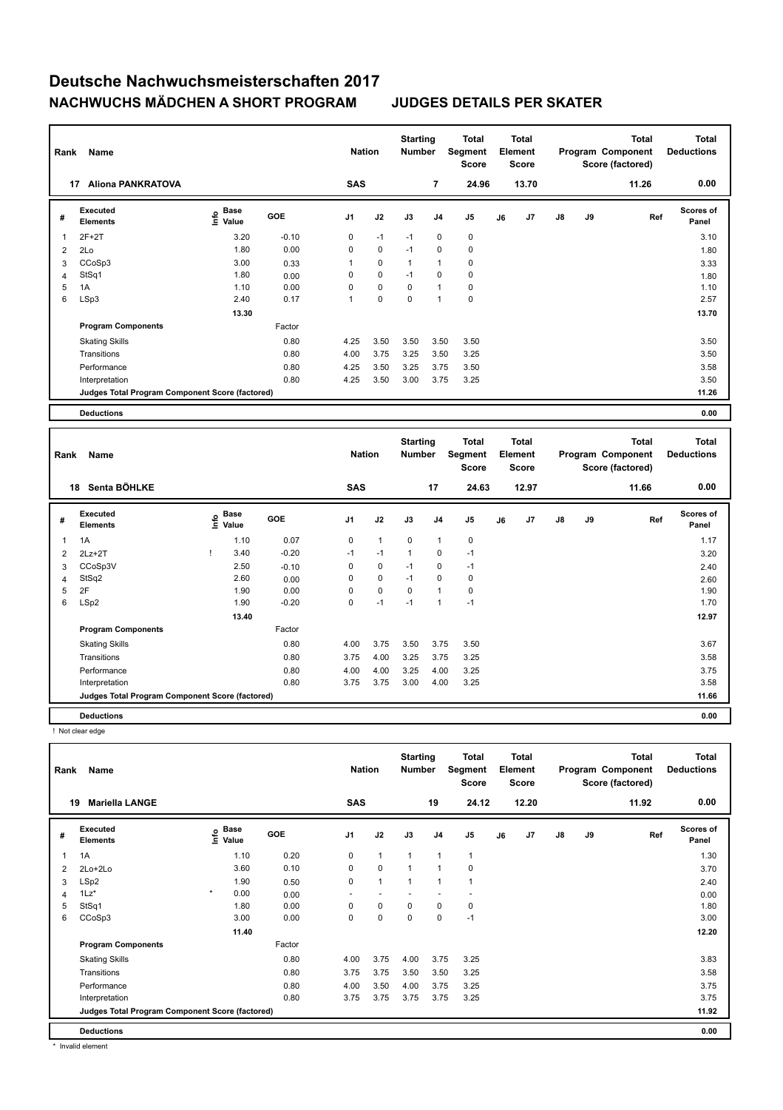|    | Name<br>Rank                                    |                                  |            |                |             | <b>Starting</b><br><b>Number</b> |                | Total<br>Segment<br>Score | Total<br>Element<br><b>Score</b> |       |               |    | <b>Total</b><br>Program Component<br>Score (factored) | <b>Total</b><br><b>Deductions</b> |
|----|-------------------------------------------------|----------------------------------|------------|----------------|-------------|----------------------------------|----------------|---------------------------|----------------------------------|-------|---------------|----|-------------------------------------------------------|-----------------------------------|
| 17 | <b>Aliona PANKRATOVA</b>                        |                                  |            | <b>SAS</b>     |             |                                  | $\overline{7}$ | 24.96                     |                                  | 13.70 |               |    | 11.26                                                 | 0.00                              |
| #  | Executed<br><b>Elements</b>                     | <b>Base</b><br>e Base<br>E Value | <b>GOE</b> | J <sub>1</sub> | J2          | J3                               | J <sub>4</sub> | J <sub>5</sub>            | J6                               | J7    | $\mathsf{J}8$ | J9 | Ref                                                   | <b>Scores of</b><br>Panel         |
|    | $2F+2T$                                         | 3.20                             | $-0.10$    | 0              | $-1$        | $-1$                             | 0              | 0                         |                                  |       |               |    |                                                       | 3.10                              |
| 2  | 2Lo                                             | 1.80                             | 0.00       | 0              | $\mathbf 0$ | $-1$                             | 0              | 0                         |                                  |       |               |    |                                                       | 1.80                              |
| 3  | CCoSp3                                          | 3.00                             | 0.33       | 1              | $\mathbf 0$ | $\overline{1}$                   | $\overline{1}$ | 0                         |                                  |       |               |    |                                                       | 3.33                              |
| 4  | StSq1                                           | 1.80                             | 0.00       | 0              | 0           | $-1$                             | 0              | 0                         |                                  |       |               |    |                                                       | 1.80                              |
| 5  | 1A                                              | 1.10                             | 0.00       | 0              | 0           | 0                                | $\overline{1}$ | 0                         |                                  |       |               |    |                                                       | 1.10                              |
| 6  | LSp3                                            | 2.40                             | 0.17       | 1              | $\mathbf 0$ | 0                                | $\overline{1}$ | 0                         |                                  |       |               |    |                                                       | 2.57                              |
|    |                                                 | 13.30                            |            |                |             |                                  |                |                           |                                  |       |               |    |                                                       | 13.70                             |
|    | <b>Program Components</b>                       |                                  | Factor     |                |             |                                  |                |                           |                                  |       |               |    |                                                       |                                   |
|    | <b>Skating Skills</b>                           |                                  | 0.80       | 4.25           | 3.50        | 3.50                             | 3.50           | 3.50                      |                                  |       |               |    |                                                       | 3.50                              |
|    | Transitions                                     |                                  | 0.80       | 4.00           | 3.75        | 3.25                             | 3.50           | 3.25                      |                                  |       |               |    |                                                       | 3.50                              |
|    | Performance                                     |                                  | 0.80       | 4.25           | 3.50        | 3.25                             | 3.75           | 3.50                      |                                  |       |               |    |                                                       | 3.58                              |
|    | Interpretation                                  |                                  | 0.80       | 4.25           | 3.50        | 3.00                             | 3.75           | 3.25                      |                                  |       |               |    |                                                       | 3.50                              |
|    | Judges Total Program Component Score (factored) |                                  |            |                |             |                                  |                |                           |                                  |       |               |    |                                                       | 11.26                             |
|    | <b>Deductions</b>                               |                                  |            |                |             |                                  |                |                           |                                  |       |               |    |                                                       | 0.00                              |

|              | Name<br>Rank                                    |  |                           |         |                |              | <b>Starting</b><br><b>Number</b> |                | <b>Total</b><br>Segment<br><b>Score</b> | Total<br>Element<br><b>Score</b> |       |               |    | <b>Total</b><br>Program Component<br>Score (factored) | <b>Total</b><br><b>Deductions</b> |
|--------------|-------------------------------------------------|--|---------------------------|---------|----------------|--------------|----------------------------------|----------------|-----------------------------------------|----------------------------------|-------|---------------|----|-------------------------------------------------------|-----------------------------------|
|              | Senta BÖHLKE<br>18                              |  |                           |         | <b>SAS</b>     |              |                                  | 17             | 24.63                                   |                                  | 12.97 |               |    | 11.66                                                 | 0.00                              |
| #            | Executed<br><b>Elements</b>                     |  | Base<br>o Base<br>E Value | GOE     | J <sub>1</sub> | J2           | J3                               | J4             | J5                                      | J6                               | J7    | $\mathsf{J}8$ | J9 | Ref                                                   | <b>Scores of</b><br>Panel         |
| $\mathbf{1}$ | 1A                                              |  | 1.10                      | 0.07    | 0              | $\mathbf{1}$ | 0                                | $\overline{1}$ | 0                                       |                                  |       |               |    |                                                       | 1.17                              |
| 2            | $2Lz+2T$                                        |  | 3.40                      | $-0.20$ | $-1$           | $-1$         | 1                                | 0              | $-1$                                    |                                  |       |               |    |                                                       | 3.20                              |
| 3            | CCoSp3V                                         |  | 2.50                      | $-0.10$ | 0              | 0            | $-1$                             | 0              | $-1$                                    |                                  |       |               |    |                                                       | 2.40                              |
| 4            | StSq2                                           |  | 2.60                      | 0.00    | 0              | $\mathbf 0$  | $-1$                             | 0              | $\pmb{0}$                               |                                  |       |               |    |                                                       | 2.60                              |
| 5            | 2F                                              |  | 1.90                      | 0.00    | 0              | $\mathbf 0$  | 0                                | $\overline{1}$ | 0                                       |                                  |       |               |    |                                                       | 1.90                              |
| 6            | LSp2                                            |  | 1.90                      | $-0.20$ | 0              | $-1$         | $-1$                             | -1             | $-1$                                    |                                  |       |               |    |                                                       | 1.70                              |
|              |                                                 |  | 13.40                     |         |                |              |                                  |                |                                         |                                  |       |               |    |                                                       | 12.97                             |
|              | <b>Program Components</b>                       |  |                           | Factor  |                |              |                                  |                |                                         |                                  |       |               |    |                                                       |                                   |
|              | <b>Skating Skills</b>                           |  |                           | 0.80    | 4.00           | 3.75         | 3.50                             | 3.75           | 3.50                                    |                                  |       |               |    |                                                       | 3.67                              |
|              | Transitions                                     |  |                           | 0.80    | 3.75           | 4.00         | 3.25                             | 3.75           | 3.25                                    |                                  |       |               |    |                                                       | 3.58                              |
|              | Performance                                     |  |                           | 0.80    | 4.00           | 4.00         | 3.25                             | 4.00           | 3.25                                    |                                  |       |               |    |                                                       | 3.75                              |
|              | Interpretation                                  |  |                           | 0.80    | 3.75           | 3.75         | 3.00                             | 4.00           | 3.25                                    |                                  |       |               |    |                                                       | 3.58                              |
|              | Judges Total Program Component Score (factored) |  |                           |         |                |              |                                  |                |                                         |                                  |       |               |    |                                                       | 11.66                             |
|              | <b>Deductions</b>                               |  |                           |         |                |              |                                  |                |                                         |                                  |       |               |    |                                                       | 0.00                              |

! Not clear edge

|                | Name<br>Rank                                    |                              |        |                          |                | <b>Starting</b><br><b>Number</b> |                | Total<br>Segment<br><b>Score</b> |    | <b>Total</b><br>Element<br><b>Score</b> |               |    | <b>Total</b><br>Program Component<br>Score (factored) | Total<br><b>Deductions</b> |
|----------------|-------------------------------------------------|------------------------------|--------|--------------------------|----------------|----------------------------------|----------------|----------------------------------|----|-----------------------------------------|---------------|----|-------------------------------------------------------|----------------------------|
|                | <b>Mariella LANGE</b><br>19                     |                              |        | SAS                      |                |                                  | 19             | 24.12                            |    | 12.20                                   |               |    | 11.92                                                 | 0.00                       |
| #              | Executed<br><b>Elements</b>                     | <b>Base</b><br>١nf٥<br>Value | GOE    | J1                       | J2             | J3                               | J <sub>4</sub> | J <sub>5</sub>                   | J6 | J7                                      | $\mathsf{J}8$ | J9 | Ref                                                   | Scores of<br>Panel         |
| $\overline{1}$ | 1A                                              | 1.10                         | 0.20   | 0                        | $\mathbf{1}$   | $\mathbf{1}$                     | 1              | $\overline{1}$                   |    |                                         |               |    |                                                       | 1.30                       |
| 2              | $2Lo+2Lo$                                       | 3.60                         | 0.10   | 0                        | $\mathbf 0$    | $\mathbf{1}$                     | 1              | 0                                |    |                                         |               |    |                                                       | 3.70                       |
| 3              | LSp2                                            | 1.90                         | 0.50   | 0                        | $\mathbf{1}$   | $\mathbf{1}$                     | 1              | $\overline{1}$                   |    |                                         |               |    |                                                       | 2.40                       |
| 4              | $1\text{Lz}^*$                                  | $\star$<br>0.00              | 0.00   | $\overline{\phantom{a}}$ | $\overline{a}$ |                                  |                | ٠                                |    |                                         |               |    |                                                       | 0.00                       |
| 5              | StSq1                                           | 1.80                         | 0.00   | 0                        | 0              | 0                                | 0              | 0                                |    |                                         |               |    |                                                       | 1.80                       |
| 6              | CCoSp3                                          | 3.00                         | 0.00   | 0                        | $\mathbf 0$    | 0                                | 0              | $-1$                             |    |                                         |               |    |                                                       | 3.00                       |
|                |                                                 | 11.40                        |        |                          |                |                                  |                |                                  |    |                                         |               |    |                                                       | 12.20                      |
|                | <b>Program Components</b>                       |                              | Factor |                          |                |                                  |                |                                  |    |                                         |               |    |                                                       |                            |
|                | <b>Skating Skills</b>                           |                              | 0.80   | 4.00                     | 3.75           | 4.00                             | 3.75           | 3.25                             |    |                                         |               |    |                                                       | 3.83                       |
|                | Transitions                                     |                              | 0.80   | 3.75                     | 3.75           | 3.50                             | 3.50           | 3.25                             |    |                                         |               |    |                                                       | 3.58                       |
|                | Performance                                     |                              | 0.80   | 4.00                     | 3.50           | 4.00                             | 3.75           | 3.25                             |    |                                         |               |    |                                                       | 3.75                       |
|                | Interpretation                                  |                              | 0.80   | 3.75                     | 3.75           | 3.75                             | 3.75           | 3.25                             |    |                                         |               |    |                                                       | 3.75                       |
|                | Judges Total Program Component Score (factored) |                              |        |                          |                |                                  |                |                                  |    |                                         |               |    |                                                       | 11.92                      |
|                | <b>Deductions</b>                               |                              |        |                          |                |                                  |                |                                  |    |                                         |               |    |                                                       | 0.00                       |

\* Invalid element